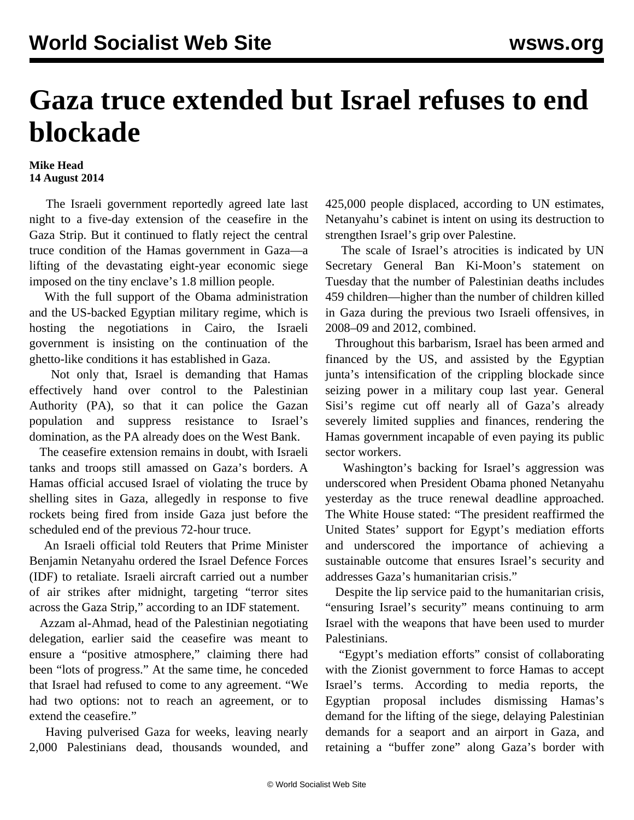## **Gaza truce extended but Israel refuses to end blockade**

## **Mike Head 14 August 2014**

 The Israeli government reportedly agreed late last night to a five-day extension of the ceasefire in the Gaza Strip. But it continued to flatly reject the central truce condition of the Hamas government in Gaza—a lifting of the devastating eight-year economic siege imposed on the tiny enclave's 1.8 million people.

 With the full support of the Obama administration and the US-backed Egyptian military regime, which is hosting the negotiations in Cairo, the Israeli government is insisting on the continuation of the ghetto-like conditions it has established in Gaza.

 Not only that, Israel is demanding that Hamas effectively hand over control to the Palestinian Authority (PA), so that it can police the Gazan population and suppress resistance to Israel's domination, as the PA already does on the West Bank.

 The ceasefire extension remains in doubt, with Israeli tanks and troops still amassed on Gaza's borders. A Hamas official accused Israel of violating the truce by shelling sites in Gaza, allegedly in response to five rockets being fired from inside Gaza just before the scheduled end of the previous 72-hour truce.

 An Israeli official told Reuters that Prime Minister Benjamin Netanyahu ordered the Israel Defence Forces (IDF) to retaliate. Israeli aircraft carried out a number of air strikes after midnight, targeting "terror sites across the Gaza Strip," according to an IDF statement.

 Azzam al-Ahmad, head of the Palestinian negotiating delegation, earlier said the ceasefire was meant to ensure a "positive atmosphere," claiming there had been "lots of progress." At the same time, he conceded that Israel had refused to come to any agreement. "We had two options: not to reach an agreement, or to extend the ceasefire."

 Having pulverised Gaza for weeks, leaving nearly 2,000 Palestinians dead, thousands wounded, and 425,000 people displaced, according to UN estimates, Netanyahu's cabinet is intent on using its destruction to strengthen Israel's grip over Palestine.

 The scale of Israel's atrocities is indicated by UN Secretary General Ban Ki-Moon's statement on Tuesday that the number of Palestinian deaths includes 459 children—higher than the number of children killed in Gaza during the previous two Israeli offensives, in 2008–09 and 2012, combined.

 Throughout this barbarism, Israel has been armed and financed by the US, and assisted by the Egyptian junta's intensification of the crippling blockade since seizing power in a military coup last year. General Sisi's regime cut off nearly all of Gaza's already severely limited supplies and finances, rendering the Hamas government incapable of even paying its public sector workers.

 Washington's backing for Israel's aggression was underscored when President Obama phoned Netanyahu yesterday as the truce renewal deadline approached. The White House stated: "The president reaffirmed the United States' support for Egypt's mediation efforts and underscored the importance of achieving a sustainable outcome that ensures Israel's security and addresses Gaza's humanitarian crisis."

 Despite the lip service paid to the humanitarian crisis, "ensuring Israel's security" means continuing to arm Israel with the weapons that have been used to murder Palestinians.

 "Egypt's mediation efforts" consist of collaborating with the Zionist government to force Hamas to accept Israel's terms. According to media reports, the Egyptian proposal includes dismissing Hamas's demand for the lifting of the siege, delaying Palestinian demands for a seaport and an airport in Gaza, and retaining a "buffer zone" along Gaza's border with